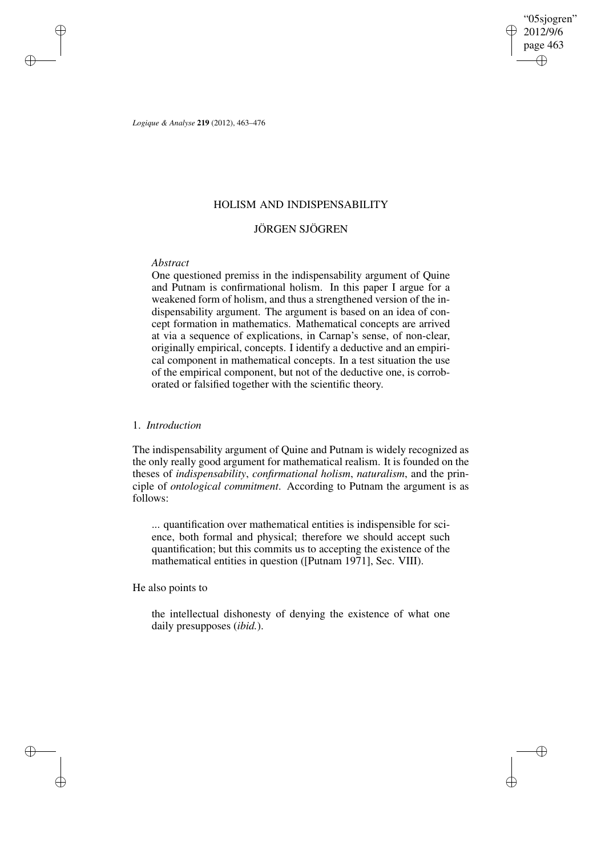"05sjogren" 2012/9/6 page 463 ✐ ✐

✐

✐

*Logique & Analyse* **219** (2012), 463–476

## HOLISM AND INDISPENSABILITY

# JÖRGEN SJÖGREN

# *Abstract*

✐

✐

✐

✐

One questioned premiss in the indispensability argument of Quine and Putnam is confirmational holism. In this paper I argue for a weakened form of holism, and thus a strengthened version of the indispensability argument. The argument is based on an idea of concept formation in mathematics. Mathematical concepts are arrived at via a sequence of explications, in Carnap's sense, of non-clear, originally empirical, concepts. I identify a deductive and an empirical component in mathematical concepts. In a test situation the use of the empirical component, but not of the deductive one, is corroborated or falsified together with the scientific theory.

## 1. *Introduction*

The indispensability argument of Quine and Putnam is widely recognized as the only really good argument for mathematical realism. It is founded on the theses of *indispensability*, *confirmational holism*, *naturalism*, and the principle of *ontological commitment*. According to Putnam the argument is as follows:

... quantification over mathematical entities is indispensible for science, both formal and physical; therefore we should accept such quantification; but this commits us to accepting the existence of the mathematical entities in question ([Putnam 1971], Sec. VIII).

He also points to

the intellectual dishonesty of denying the existence of what one daily presupposes (*ibid.*).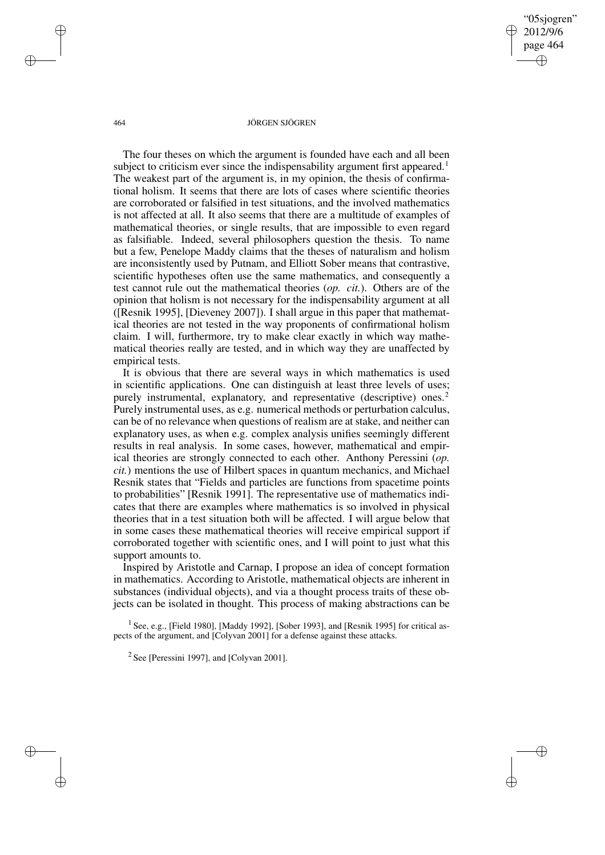"05sjogren" 2012/9/6 page 464 ✐ ✐

✐

✐

#### 464 JÖRGEN SJÖGREN

The four theses on which the argument is founded have each and all been subject to criticism ever since the indispensability argument first appeared.<sup>1</sup> The weakest part of the argument is, in my opinion, the thesis of confirmational holism. It seems that there are lots of cases where scientific theories are corroborated or falsified in test situations, and the involved mathematics is not affected at all. It also seems that there are a multitude of examples of mathematical theories, or single results, that are impossible to even regard as falsifiable. Indeed, several philosophers question the thesis. To name but a few, Penelope Maddy claims that the theses of naturalism and holism are inconsistently used by Putnam, and Elliott Sober means that contrastive, scientific hypotheses often use the same mathematics, and consequently a test cannot rule out the mathematical theories (*op. cit.*). Others are of the opinion that holism is not necessary for the indispensability argument at all ([Resnik 1995], [Dieveney 2007]). I shall argue in this paper that mathematical theories are not tested in the way proponents of confirmational holism claim. I will, furthermore, try to make clear exactly in which way mathematical theories really are tested, and in which way they are unaffected by empirical tests.

It is obvious that there are several ways in which mathematics is used in scientific applications. One can distinguish at least three levels of uses; purely instrumental, explanatory, and representative (descriptive) ones.<sup>2</sup> Purely instrumental uses, as e.g. numerical methods or perturbation calculus, can be of no relevance when questions of realism are at stake, and neither can explanatory uses, as when e.g. complex analysis unifies seemingly different results in real analysis. In some cases, however, mathematical and empirical theories are strongly connected to each other. Anthony Peressini (*op. cit.*) mentions the use of Hilbert spaces in quantum mechanics, and Michael Resnik states that "Fields and particles are functions from spacetime points to probabilities" [Resnik 1991]. The representative use of mathematics indicates that there are examples where mathematics is so involved in physical theories that in a test situation both will be affected. I will argue below that in some cases these mathematical theories will receive empirical support if corroborated together with scientific ones, and I will point to just what this support amounts to.

Inspired by Aristotle and Carnap, I propose an idea of concept formation in mathematics. According to Aristotle, mathematical objects are inherent in substances (individual objects), and via a thought process traits of these objects can be isolated in thought. This process of making abstractions can be

<sup>1</sup> See, e.g., [Field 1980], [Maddy 1992], [Sober 1993], and [Resnik 1995] for critical aspects of the argument, and [Colyvan 2001] for a defense against these attacks.

 $2$  See [Peressini 1997], and [Colyvan 2001].

✐

✐

✐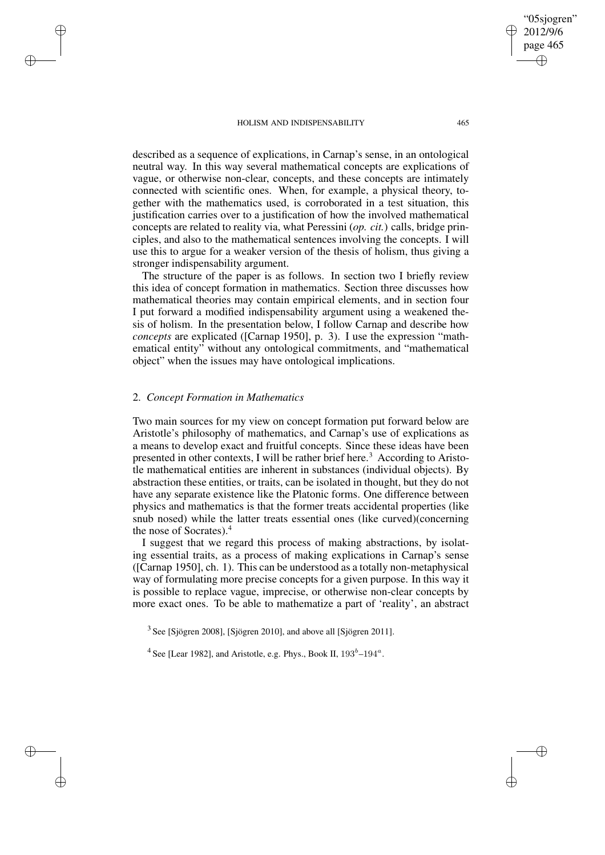page 465 ✐

✐

"05sjogren" 2012/9/6

✐

✐

described as a sequence of explications, in Carnap's sense, in an ontological neutral way. In this way several mathematical concepts are explications of vague, or otherwise non-clear, concepts, and these concepts are intimately connected with scientific ones. When, for example, a physical theory, together with the mathematics used, is corroborated in a test situation, this justification carries over to a justification of how the involved mathematical concepts are related to reality via, what Peressini (*op. cit.*) calls, bridge principles, and also to the mathematical sentences involving the concepts. I will use this to argue for a weaker version of the thesis of holism, thus giving a stronger indispensability argument.

The structure of the paper is as follows. In section two I briefly review this idea of concept formation in mathematics. Section three discusses how mathematical theories may contain empirical elements, and in section four I put forward a modified indispensability argument using a weakened thesis of holism. In the presentation below, I follow Carnap and describe how *concepts* are explicated ([Carnap 1950], p. 3). I use the expression "mathematical entity" without any ontological commitments, and "mathematical object" when the issues may have ontological implications.

# 2. *Concept Formation in Mathematics*

✐

✐

✐

✐

Two main sources for my view on concept formation put forward below are Aristotle's philosophy of mathematics, and Carnap's use of explications as a means to develop exact and fruitful concepts. Since these ideas have been presented in other contexts, I will be rather brief here.<sup>3</sup> According to Aristotle mathematical entities are inherent in substances (individual objects). By abstraction these entities, or traits, can be isolated in thought, but they do not have any separate existence like the Platonic forms. One difference between physics and mathematics is that the former treats accidental properties (like snub nosed) while the latter treats essential ones (like curved)(concerning the nose of Socrates).<sup>4</sup>

I suggest that we regard this process of making abstractions, by isolating essential traits, as a process of making explications in Carnap's sense ([Carnap 1950], ch. 1). This can be understood as a totally non-metaphysical way of formulating more precise concepts for a given purpose. In this way it is possible to replace vague, imprecise, or otherwise non-clear concepts by more exact ones. To be able to mathematize a part of 'reality', an abstract

<sup>3</sup> See [Sjögren 2008], [Sjögren 2010], and above all [Sjögren 2011].

<sup>4</sup> See [Lear 1982], and Aristotle, e.g. Phys., Book II,  $193<sup>b</sup> - 194<sup>a</sup>$ .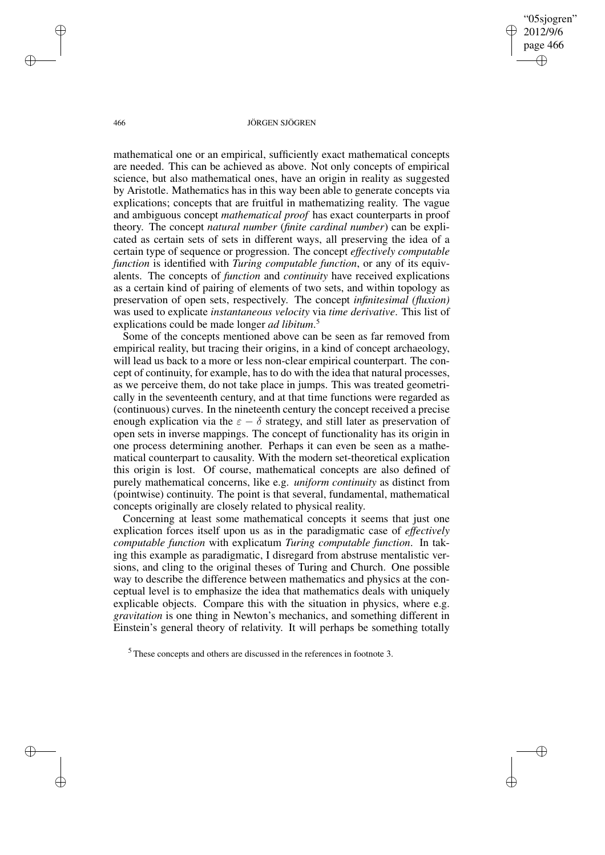"05sjogren" 2012/9/6 page 466 ✐ ✐

✐

✐

#### 466 JÖRGEN SJÖGREN

mathematical one or an empirical, sufficiently exact mathematical concepts are needed. This can be achieved as above. Not only concepts of empirical science, but also mathematical ones, have an origin in reality as suggested by Aristotle. Mathematics has in this way been able to generate concepts via explications; concepts that are fruitful in mathematizing reality. The vague and ambiguous concept *mathematical proof* has exact counterparts in proof theory. The concept *natural number* (*finite cardinal number*) can be explicated as certain sets of sets in different ways, all preserving the idea of a certain type of sequence or progression. The concept *effectively computable function* is identified with *Turing computable function*, or any of its equivalents. The concepts of *function* and *continuity* have received explications as a certain kind of pairing of elements of two sets, and within topology as preservation of open sets, respectively. The concept *infinitesimal (fluxion)* was used to explicate *instantaneous velocity* via *time derivative*. This list of explications could be made longer *ad libitum*. 5

Some of the concepts mentioned above can be seen as far removed from empirical reality, but tracing their origins, in a kind of concept archaeology, will lead us back to a more or less non-clear empirical counterpart. The concept of continuity, for example, has to do with the idea that natural processes, as we perceive them, do not take place in jumps. This was treated geometrically in the seventeenth century, and at that time functions were regarded as (continuous) curves. In the nineteenth century the concept received a precise enough explication via the  $\varepsilon - \delta$  strategy, and still later as preservation of open sets in inverse mappings. The concept of functionality has its origin in one process determining another. Perhaps it can even be seen as a mathematical counterpart to causality. With the modern set-theoretical explication this origin is lost. Of course, mathematical concepts are also defined of purely mathematical concerns, like e.g. *uniform continuity* as distinct from (pointwise) continuity. The point is that several, fundamental, mathematical concepts originally are closely related to physical reality.

Concerning at least some mathematical concepts it seems that just one explication forces itself upon us as in the paradigmatic case of *effectively computable function* with explicatum *Turing computable function*. In taking this example as paradigmatic, I disregard from abstruse mentalistic versions, and cling to the original theses of Turing and Church. One possible way to describe the difference between mathematics and physics at the conceptual level is to emphasize the idea that mathematics deals with uniquely explicable objects. Compare this with the situation in physics, where e.g. *gravitation* is one thing in Newton's mechanics, and something different in Einstein's general theory of relativity. It will perhaps be something totally

✐

✐

✐

 $<sup>5</sup>$  These concepts and others are discussed in the references in footnote 3.</sup>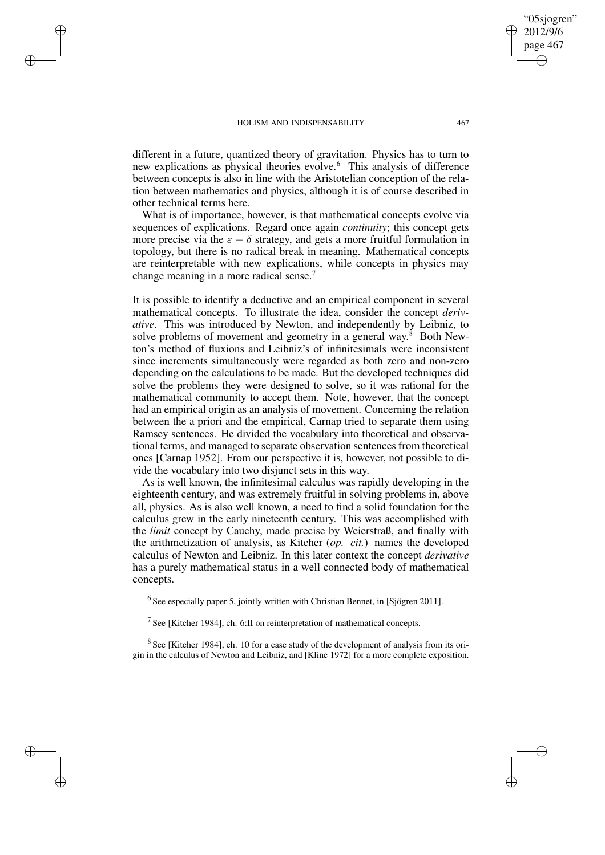✐

✐

✐

✐

different in a future, quantized theory of gravitation. Physics has to turn to new explications as physical theories evolve.<sup>6</sup> This analysis of difference between concepts is also in line with the Aristotelian conception of the relation between mathematics and physics, although it is of course described in other technical terms here.

What is of importance, however, is that mathematical concepts evolve via sequences of explications. Regard once again *continuity*; this concept gets more precise via the  $\varepsilon - \delta$  strategy, and gets a more fruitful formulation in topology, but there is no radical break in meaning. Mathematical concepts are reinterpretable with new explications, while concepts in physics may change meaning in a more radical sense.<sup>7</sup>

It is possible to identify a deductive and an empirical component in several mathematical concepts. To illustrate the idea, consider the concept *derivative*. This was introduced by Newton, and independently by Leibniz, to solve problems of movement and geometry in a general way. $8$  Both Newton's method of fluxions and Leibniz's of infinitesimals were inconsistent since increments simultaneously were regarded as both zero and non-zero depending on the calculations to be made. But the developed techniques did solve the problems they were designed to solve, so it was rational for the mathematical community to accept them. Note, however, that the concept had an empirical origin as an analysis of movement. Concerning the relation between the a priori and the empirical, Carnap tried to separate them using Ramsey sentences. He divided the vocabulary into theoretical and observational terms, and managed to separate observation sentences from theoretical ones [Carnap 1952]. From our perspective it is, however, not possible to divide the vocabulary into two disjunct sets in this way.

As is well known, the infinitesimal calculus was rapidly developing in the eighteenth century, and was extremely fruitful in solving problems in, above all, physics. As is also well known, a need to find a solid foundation for the calculus grew in the early nineteenth century. This was accomplished with the *limit* concept by Cauchy, made precise by Weierstraß, and finally with the arithmetization of analysis, as Kitcher (*op. cit.*) names the developed calculus of Newton and Leibniz. In this later context the concept *derivative* has a purely mathematical status in a well connected body of mathematical concepts.

 $<sup>6</sup>$  See especially paper 5, jointly written with Christian Bennet, in [Sjögren 2011].</sup>

<sup>7</sup> See [Kitcher 1984], ch. 6:II on reinterpretation of mathematical concepts.

 $8$  See [Kitcher 1984], ch. 10 for a case study of the development of analysis from its origin in the calculus of Newton and Leibniz, and [Kline 1972] for a more complete exposition.

"05sjogren" 2012/9/6 page 467

✐

✐

✐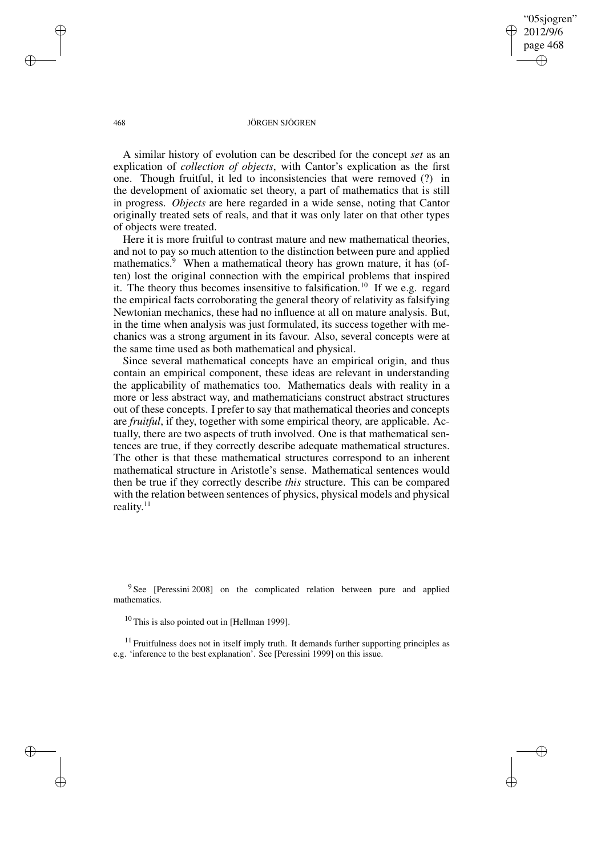"05sjogren" 2012/9/6 page 468 ✐ ✐

✐

✐

#### 468 JÖRGEN SJÖGREN

A similar history of evolution can be described for the concept *set* as an explication of *collection of objects*, with Cantor's explication as the first one. Though fruitful, it led to inconsistencies that were removed (?) in the development of axiomatic set theory, a part of mathematics that is still in progress. *Objects* are here regarded in a wide sense, noting that Cantor originally treated sets of reals, and that it was only later on that other types of objects were treated.

Here it is more fruitful to contrast mature and new mathematical theories, and not to pay so much attention to the distinction between pure and applied mathematics.<sup>9</sup> When a mathematical theory has grown mature, it has (often) lost the original connection with the empirical problems that inspired it. The theory thus becomes insensitive to falsification.<sup>10</sup> If we e.g. regard the empirical facts corroborating the general theory of relativity as falsifying Newtonian mechanics, these had no influence at all on mature analysis. But, in the time when analysis was just formulated, its success together with mechanics was a strong argument in its favour. Also, several concepts were at the same time used as both mathematical and physical.

Since several mathematical concepts have an empirical origin, and thus contain an empirical component, these ideas are relevant in understanding the applicability of mathematics too. Mathematics deals with reality in a more or less abstract way, and mathematicians construct abstract structures out of these concepts. I prefer to say that mathematical theories and concepts are *fruitful*, if they, together with some empirical theory, are applicable. Actually, there are two aspects of truth involved. One is that mathematical sentences are true, if they correctly describe adequate mathematical structures. The other is that these mathematical structures correspond to an inherent mathematical structure in Aristotle's sense. Mathematical sentences would then be true if they correctly describe *this* structure. This can be compared with the relation between sentences of physics, physical models and physical reality.<sup>11</sup>

<sup>9</sup> See [Peressini 2008] on the complicated relation between pure and applied mathematics.

<sup>11</sup> Fruitfulness does not in itself imply truth. It demands further supporting principles as e.g. 'inference to the best explanation'. See [Peressini 1999] on this issue.

✐

✐

✐

<sup>10</sup> This is also pointed out in [Hellman 1999].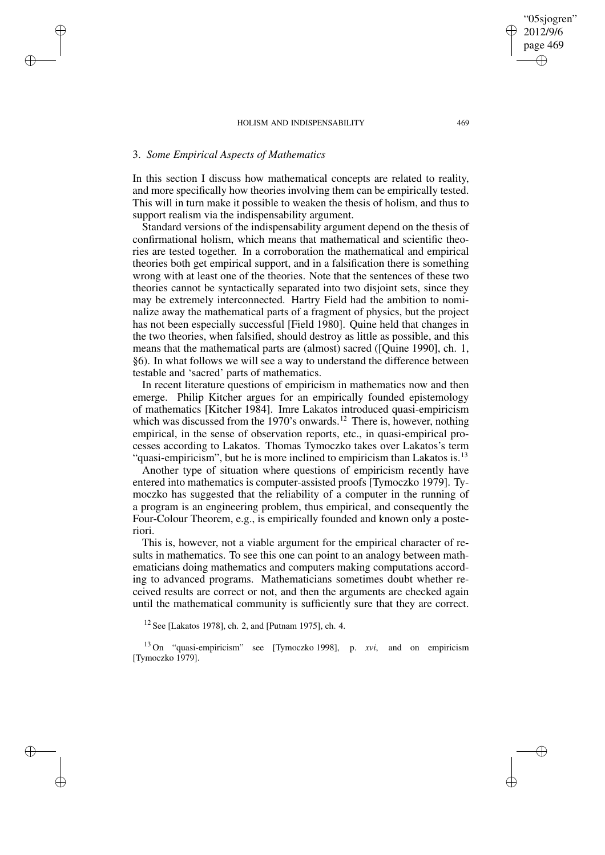## 3. *Some Empirical Aspects of Mathematics*

✐

✐

✐

✐

In this section I discuss how mathematical concepts are related to reality, and more specifically how theories involving them can be empirically tested. This will in turn make it possible to weaken the thesis of holism, and thus to support realism via the indispensability argument.

Standard versions of the indispensability argument depend on the thesis of confirmational holism, which means that mathematical and scientific theories are tested together. In a corroboration the mathematical and empirical theories both get empirical support, and in a falsification there is something wrong with at least one of the theories. Note that the sentences of these two theories cannot be syntactically separated into two disjoint sets, since they may be extremely interconnected. Hartry Field had the ambition to nominalize away the mathematical parts of a fragment of physics, but the project has not been especially successful [Field 1980]. Quine held that changes in the two theories, when falsified, should destroy as little as possible, and this means that the mathematical parts are (almost) sacred ([Quine 1990], ch. 1, §6). In what follows we will see a way to understand the difference between testable and 'sacred' parts of mathematics.

In recent literature questions of empiricism in mathematics now and then emerge. Philip Kitcher argues for an empirically founded epistemology of mathematics [Kitcher 1984]. Imre Lakatos introduced quasi-empiricism which was discussed from the 1970's onwards.<sup>12</sup> There is, however, nothing empirical, in the sense of observation reports, etc., in quasi-empirical processes according to Lakatos. Thomas Tymoczko takes over Lakatos's term "quasi-empiricism", but he is more inclined to empiricism than Lakatos is.<sup>13</sup>

Another type of situation where questions of empiricism recently have entered into mathematics is computer-assisted proofs [Tymoczko 1979]. Tymoczko has suggested that the reliability of a computer in the running of a program is an engineering problem, thus empirical, and consequently the Four-Colour Theorem, e.g., is empirically founded and known only a posteriori.

This is, however, not a viable argument for the empirical character of results in mathematics. To see this one can point to an analogy between mathematicians doing mathematics and computers making computations according to advanced programs. Mathematicians sometimes doubt whether received results are correct or not, and then the arguments are checked again until the mathematical community is sufficiently sure that they are correct.

<sup>12</sup> See [Lakatos 1978], ch. 2, and [Putnam 1975], ch. 4.

<sup>13</sup> On "quasi-empiricism" see [Tymoczko 1998], p. *xvi*, and on empiricism [Tymoczko 1979].

"05sjogren" 2012/9/6 page 469

✐

✐

✐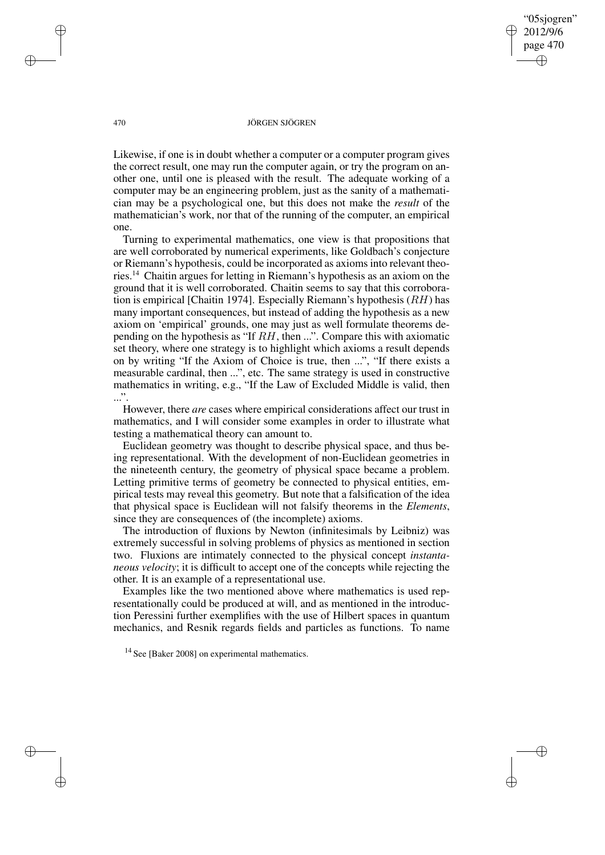"05sjogren" 2012/9/6 page 470 ✐ ✐

✐

✐

#### 470 JÖRGEN SJÖGREN

Likewise, if one is in doubt whether a computer or a computer program gives the correct result, one may run the computer again, or try the program on another one, until one is pleased with the result. The adequate working of a computer may be an engineering problem, just as the sanity of a mathematician may be a psychological one, but this does not make the *result* of the mathematician's work, nor that of the running of the computer, an empirical one.

Turning to experimental mathematics, one view is that propositions that are well corroborated by numerical experiments, like Goldbach's conjecture or Riemann's hypothesis, could be incorporated as axioms into relevant theories.<sup>14</sup> Chaitin argues for letting in Riemann's hypothesis as an axiom on the ground that it is well corroborated. Chaitin seems to say that this corroboration is empirical [Chaitin 1974]. Especially Riemann's hypothesis  $(RH)$  has many important consequences, but instead of adding the hypothesis as a new axiom on 'empirical' grounds, one may just as well formulate theorems depending on the hypothesis as "If RH, then ...". Compare this with axiomatic set theory, where one strategy is to highlight which axioms a result depends on by writing "If the Axiom of Choice is true, then ...", "If there exists a measurable cardinal, then ...", etc. The same strategy is used in constructive mathematics in writing, e.g., "If the Law of Excluded Middle is valid, then  $\ldots$ ".

However, there *are* cases where empirical considerations affect our trust in mathematics, and I will consider some examples in order to illustrate what testing a mathematical theory can amount to.

Euclidean geometry was thought to describe physical space, and thus being representational. With the development of non-Euclidean geometries in the nineteenth century, the geometry of physical space became a problem. Letting primitive terms of geometry be connected to physical entities, empirical tests may reveal this geometry. But note that a falsification of the idea that physical space is Euclidean will not falsify theorems in the *Elements*, since they are consequences of (the incomplete) axioms.

The introduction of fluxions by Newton (infinitesimals by Leibniz) was extremely successful in solving problems of physics as mentioned in section two. Fluxions are intimately connected to the physical concept *instantaneous velocity*; it is difficult to accept one of the concepts while rejecting the other. It is an example of a representational use.

Examples like the two mentioned above where mathematics is used representationally could be produced at will, and as mentioned in the introduction Peressini further exemplifies with the use of Hilbert spaces in quantum mechanics, and Resnik regards fields and particles as functions. To name

✐

✐

✐

<sup>&</sup>lt;sup>14</sup> See [Baker 2008] on experimental mathematics.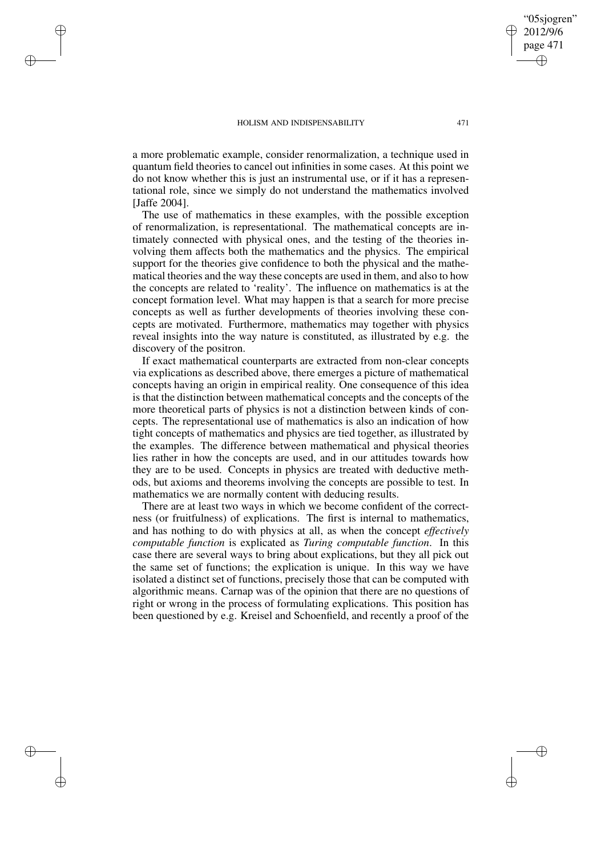✐

✐

✐

✐

a more problematic example, consider renormalization, a technique used in quantum field theories to cancel out infinities in some cases. At this point we do not know whether this is just an instrumental use, or if it has a representational role, since we simply do not understand the mathematics involved [Jaffe 2004].

The use of mathematics in these examples, with the possible exception of renormalization, is representational. The mathematical concepts are intimately connected with physical ones, and the testing of the theories involving them affects both the mathematics and the physics. The empirical support for the theories give confidence to both the physical and the mathematical theories and the way these concepts are used in them, and also to how the concepts are related to 'reality'. The influence on mathematics is at the concept formation level. What may happen is that a search for more precise concepts as well as further developments of theories involving these concepts are motivated. Furthermore, mathematics may together with physics reveal insights into the way nature is constituted, as illustrated by e.g. the discovery of the positron.

If exact mathematical counterparts are extracted from non-clear concepts via explications as described above, there emerges a picture of mathematical concepts having an origin in empirical reality. One consequence of this idea is that the distinction between mathematical concepts and the concepts of the more theoretical parts of physics is not a distinction between kinds of concepts. The representational use of mathematics is also an indication of how tight concepts of mathematics and physics are tied together, as illustrated by the examples. The difference between mathematical and physical theories lies rather in how the concepts are used, and in our attitudes towards how they are to be used. Concepts in physics are treated with deductive methods, but axioms and theorems involving the concepts are possible to test. In mathematics we are normally content with deducing results.

There are at least two ways in which we become confident of the correctness (or fruitfulness) of explications. The first is internal to mathematics, and has nothing to do with physics at all, as when the concept *effectively computable function* is explicated as *Turing computable function*. In this case there are several ways to bring about explications, but they all pick out the same set of functions; the explication is unique. In this way we have isolated a distinct set of functions, precisely those that can be computed with algorithmic means. Carnap was of the opinion that there are no questions of right or wrong in the process of formulating explications. This position has been questioned by e.g. Kreisel and Schoenfield, and recently a proof of the

"05sjogren" 2012/9/6 page 471

✐

✐

✐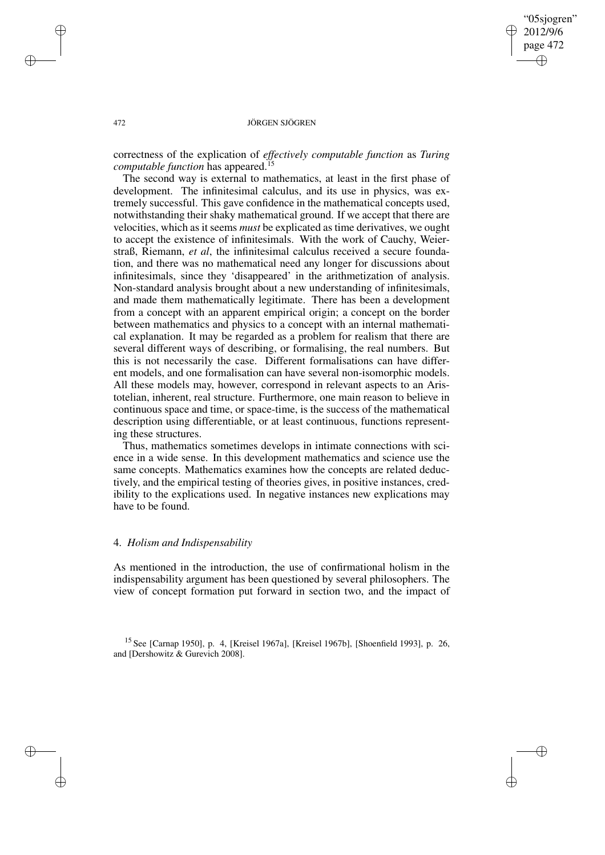"05sjogren" 2012/9/6 page 472 ✐ ✐

✐

✐

#### 472 JÖRGEN SJÖGREN

correctness of the explication of *effectively computable function* as *Turing computable function* has appeared.<sup>15</sup>

The second way is external to mathematics, at least in the first phase of development. The infinitesimal calculus, and its use in physics, was extremely successful. This gave confidence in the mathematical concepts used, notwithstanding their shaky mathematical ground. If we accept that there are velocities, which as it seems *must* be explicated as time derivatives, we ought to accept the existence of infinitesimals. With the work of Cauchy, Weierstraß, Riemann, *et al*, the infinitesimal calculus received a secure foundation, and there was no mathematical need any longer for discussions about infinitesimals, since they 'disappeared' in the arithmetization of analysis. Non-standard analysis brought about a new understanding of infinitesimals, and made them mathematically legitimate. There has been a development from a concept with an apparent empirical origin; a concept on the border between mathematics and physics to a concept with an internal mathematical explanation. It may be regarded as a problem for realism that there are several different ways of describing, or formalising, the real numbers. But this is not necessarily the case. Different formalisations can have different models, and one formalisation can have several non-isomorphic models. All these models may, however, correspond in relevant aspects to an Aristotelian, inherent, real structure. Furthermore, one main reason to believe in continuous space and time, or space-time, is the success of the mathematical description using differentiable, or at least continuous, functions representing these structures.

Thus, mathematics sometimes develops in intimate connections with science in a wide sense. In this development mathematics and science use the same concepts. Mathematics examines how the concepts are related deductively, and the empirical testing of theories gives, in positive instances, credibility to the explications used. In negative instances new explications may have to be found.

## 4. *Holism and Indispensability*

As mentioned in the introduction, the use of confirmational holism in the indispensability argument has been questioned by several philosophers. The view of concept formation put forward in section two, and the impact of

<sup>15</sup> See [Carnap 1950], p. 4, [Kreisel 1967a], [Kreisel 1967b], [Shoenfield 1993], p. 26, and [Dershowitz & Gurevich 2008].

✐

✐

✐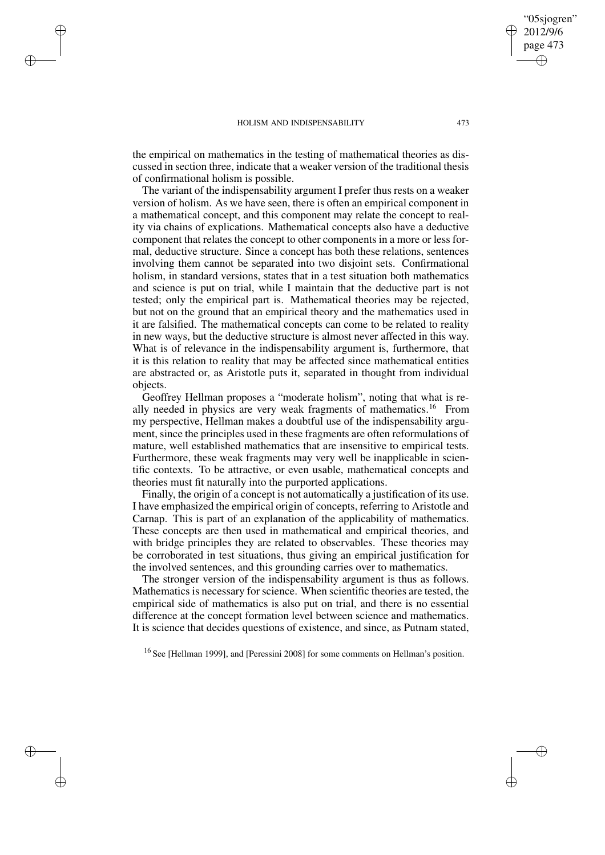✐

✐

✐

✐

the empirical on mathematics in the testing of mathematical theories as discussed in section three, indicate that a weaker version of the traditional thesis of confirmational holism is possible.

The variant of the indispensability argument I prefer thus rests on a weaker version of holism. As we have seen, there is often an empirical component in a mathematical concept, and this component may relate the concept to reality via chains of explications. Mathematical concepts also have a deductive component that relates the concept to other components in a more or less formal, deductive structure. Since a concept has both these relations, sentences involving them cannot be separated into two disjoint sets. Confirmational holism, in standard versions, states that in a test situation both mathematics and science is put on trial, while I maintain that the deductive part is not tested; only the empirical part is. Mathematical theories may be rejected, but not on the ground that an empirical theory and the mathematics used in it are falsified. The mathematical concepts can come to be related to reality in new ways, but the deductive structure is almost never affected in this way. What is of relevance in the indispensability argument is, furthermore, that it is this relation to reality that may be affected since mathematical entities are abstracted or, as Aristotle puts it, separated in thought from individual objects.

Geoffrey Hellman proposes a "moderate holism", noting that what is really needed in physics are very weak fragments of mathematics.<sup>16</sup> From my perspective, Hellman makes a doubtful use of the indispensability argument, since the principles used in these fragments are often reformulations of mature, well established mathematics that are insensitive to empirical tests. Furthermore, these weak fragments may very well be inapplicable in scientific contexts. To be attractive, or even usable, mathematical concepts and theories must fit naturally into the purported applications.

Finally, the origin of a concept is not automatically a justification of its use. I have emphasized the empirical origin of concepts, referring to Aristotle and Carnap. This is part of an explanation of the applicability of mathematics. These concepts are then used in mathematical and empirical theories, and with bridge principles they are related to observables. These theories may be corroborated in test situations, thus giving an empirical justification for the involved sentences, and this grounding carries over to mathematics.

The stronger version of the indispensability argument is thus as follows. Mathematics is necessary for science. When scientific theories are tested, the empirical side of mathematics is also put on trial, and there is no essential difference at the concept formation level between science and mathematics. It is science that decides questions of existence, and since, as Putnam stated,

<sup>16</sup> See [Hellman 1999], and [Peressini 2008] for some comments on Hellman's position.

"05sjogren" 2012/9/6 page 473

✐

✐

✐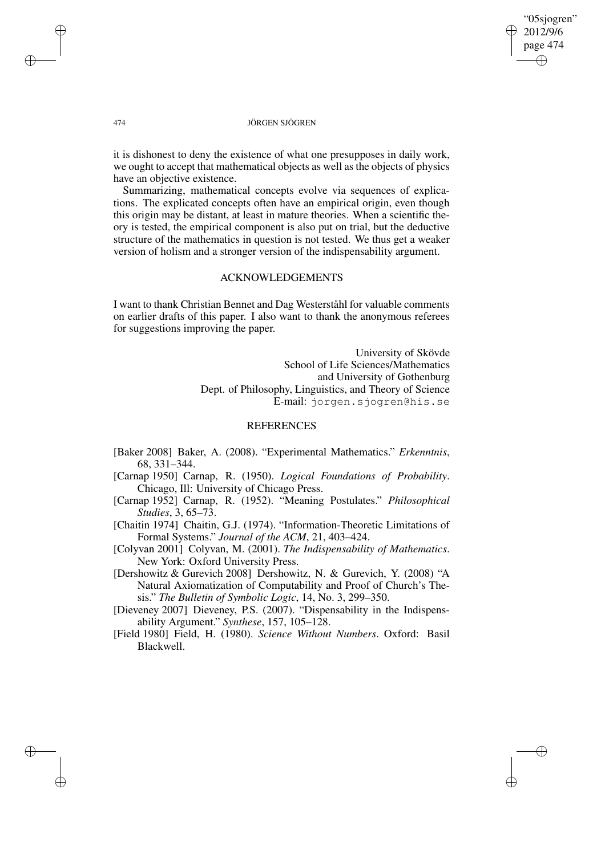"05sjogren" 2012/9/6 page 474 ✐ ✐

✐

✐

#### 474 JÖRGEN SJÖGREN

it is dishonest to deny the existence of what one presupposes in daily work, we ought to accept that mathematical objects as well as the objects of physics have an objective existence.

Summarizing, mathematical concepts evolve via sequences of explications. The explicated concepts often have an empirical origin, even though this origin may be distant, at least in mature theories. When a scientific theory is tested, the empirical component is also put on trial, but the deductive structure of the mathematics in question is not tested. We thus get a weaker version of holism and a stronger version of the indispensability argument.

## ACKNOWLEDGEMENTS

I want to thank Christian Bennet and Dag Westerståhl for valuable comments on earlier drafts of this paper. I also want to thank the anonymous referees for suggestions improving the paper.

> University of Skövde School of Life Sciences/Mathematics and University of Gothenburg Dept. of Philosophy, Linguistics, and Theory of Science E-mail: jorgen.sjogren@his.se

## REFERENCES

- [Baker 2008] Baker, A. (2008). "Experimental Mathematics." *Erkenntnis*, 68, 331–344.
- [Carnap 1950] Carnap, R. (1950). *Logical Foundations of Probability*. Chicago, Ill: University of Chicago Press.
- [Carnap 1952] Carnap, R. (1952). "Meaning Postulates." *Philosophical Studies*, 3, 65–73.
- [Chaitin 1974] Chaitin, G.J. (1974). "Information-Theoretic Limitations of Formal Systems." *Journal of the ACM*, 21, 403–424.
- [Colyvan 2001] Colyvan, M. (2001). *The Indispensability of Mathematics*. New York: Oxford University Press.

[Dershowitz & Gurevich 2008] Dershowitz, N. & Gurevich, Y. (2008) "A Natural Axiomatization of Computability and Proof of Church's Thesis." *The Bulletin of Symbolic Logic*, 14, No. 3, 299–350.

- [Dieveney 2007] Dieveney, P.S. (2007). "Dispensability in the Indispensability Argument." *Synthese*, 157, 105–128.
- [Field 1980] Field, H. (1980). *Science Without Numbers*. Oxford: Basil Blackwell.

✐

✐

✐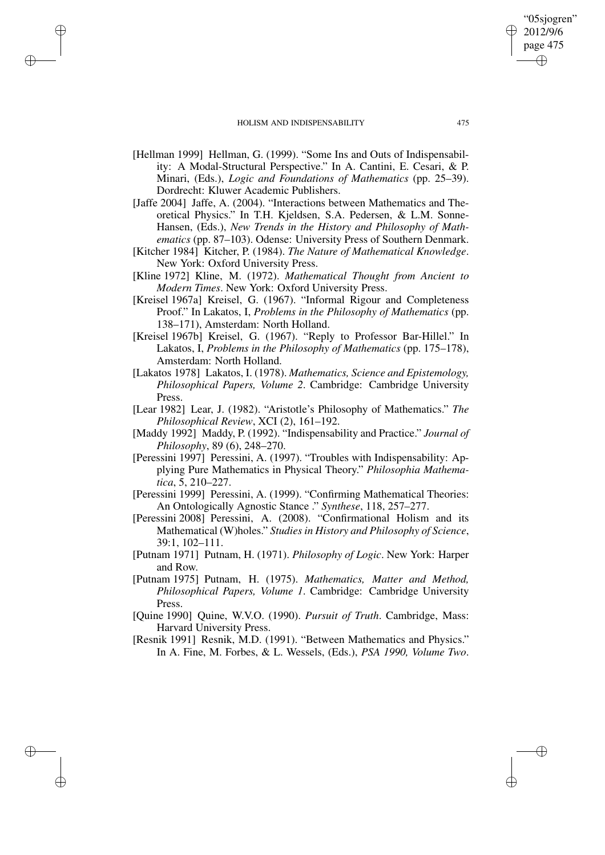✐

✐

✐

✐

- [Hellman 1999] Hellman, G. (1999). "Some Ins and Outs of Indispensability: A Modal-Structural Perspective." In A. Cantini, E. Cesari, & P. Minari, (Eds.), *Logic and Foundations of Mathematics* (pp. 25–39). Dordrecht: Kluwer Academic Publishers.
- [Jaffe 2004] Jaffe, A. (2004). "Interactions between Mathematics and Theoretical Physics." In T.H. Kjeldsen, S.A. Pedersen, & L.M. Sonne-Hansen, (Eds.), *New Trends in the History and Philosophy of Mathematics* (pp. 87–103). Odense: University Press of Southern Denmark.
- [Kitcher 1984] Kitcher, P. (1984). *The Nature of Mathematical Knowledge*. New York: Oxford University Press.
- [Kline 1972] Kline, M. (1972). *Mathematical Thought from Ancient to Modern Times*. New York: Oxford University Press.
- [Kreisel 1967a] Kreisel, G. (1967). "Informal Rigour and Completeness Proof." In Lakatos, I, *Problems in the Philosophy of Mathematics* (pp. 138–171), Amsterdam: North Holland.
- [Kreisel 1967b] Kreisel, G. (1967). "Reply to Professor Bar-Hillel." In Lakatos, I, *Problems in the Philosophy of Mathematics* (pp. 175–178), Amsterdam: North Holland.
- [Lakatos 1978] Lakatos, I. (1978). *Mathematics, Science and Epistemology, Philosophical Papers, Volume 2*. Cambridge: Cambridge University Press.
- [Lear 1982] Lear, J. (1982). "Aristotle's Philosophy of Mathematics." *The Philosophical Review*, XCI (2), 161–192.
- [Maddy 1992] Maddy, P. (1992). "Indispensability and Practice." *Journal of Philosophy*, 89 (6), 248–270.
- [Peressini 1997] Peressini, A. (1997). "Troubles with Indispensability: Applying Pure Mathematics in Physical Theory." *Philosophia Mathematica*, 5, 210–227.
- [Peressini 1999] Peressini, A. (1999). "Confirming Mathematical Theories: An Ontologically Agnostic Stance ." *Synthese*, 118, 257–277.
- [Peressini 2008] Peressini, A. (2008). "Confirmational Holism and its Mathematical (W)holes." *Studies in History and Philosophy of Science*, 39:1, 102–111.
- [Putnam 1971] Putnam, H. (1971). *Philosophy of Logic*. New York: Harper and Row.
- [Putnam 1975] Putnam, H. (1975). *Mathematics, Matter and Method, Philosophical Papers, Volume 1*. Cambridge: Cambridge University Press.
- [Quine 1990] Quine, W.V.O. (1990). *Pursuit of Truth*. Cambridge, Mass: Harvard University Press.
- [Resnik 1991] Resnik, M.D. (1991). "Between Mathematics and Physics." In A. Fine, M. Forbes, & L. Wessels, (Eds.), *PSA 1990, Volume Two*.

"05sjogren" 2012/9/6 page 475

✐

✐

✐